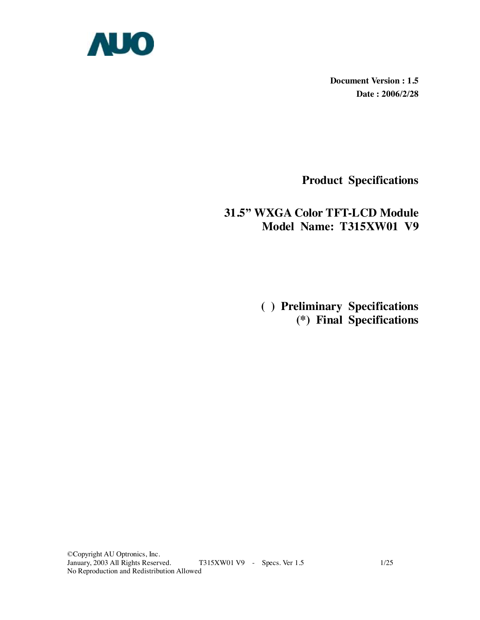

**Document Version : 1.5 Date : 2006/2/28** 

**Product Specifications** 

# **31.5" WXGA Color TFT-LCD Module Model Name: T315XW01 V9**

 **( ) Preliminary Specifications (\*) Final Specifications**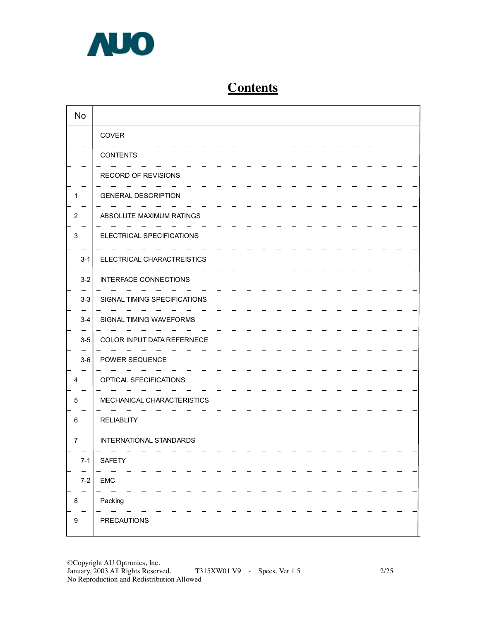

# **Contents**

| <b>No</b> |                              |
|-----------|------------------------------|
|           | COVER                        |
|           | <b>CONTENTS</b>              |
|           | RECORD OF REVISIONS          |
|           | <b>GENERAL DESCRIPTION</b>   |
| 2         | ABSOLUTE MAXIMUM RATINGS     |
| 3         | ELECTRICAL SPECIFICATIONS    |
| $3 - 1$   | ELECTRICAL CHARACTREISTICS   |
| $3 - 2$   | INTERFACE CONNECTIONS        |
| $3-3$     | SIGNAL TIMING SPECIFICATIONS |
| $3 - 4$   | SIGNAL TIMING WAVEFORMS      |
| $3-5$     | COLOR INPUT DATA REFERNECE   |
| $3-6$     | POWER SEQUENCE               |
| 4         | OPTICAL SFECIFICATIONS       |
| 5         | MECHANICAL CHARACTERISTICS   |
| 6         | <b>RELIABLITY</b>            |
| 7         | INTERNATIONAL STANDARDS      |
| $7 - 1$   | SAFETY                       |
| $7-2$     | <b>EMC</b>                   |
| 8         | Packing                      |
| 9         | <b>PRECAUTIONS</b>           |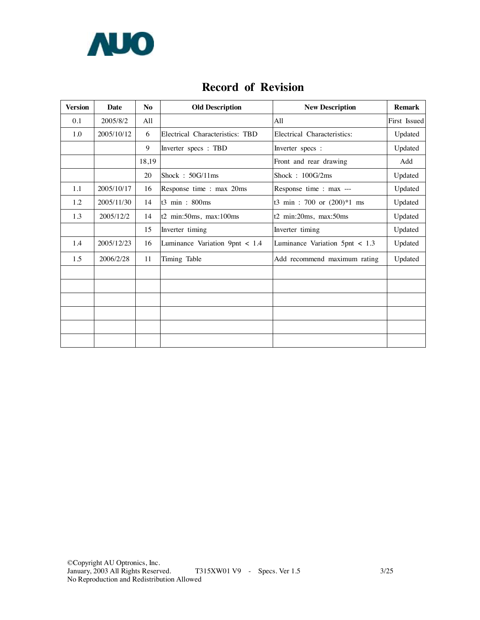

# **Record of Revision**

| <b>Version</b> | <b>Date</b> | N <sub>0</sub> | <b>Old Description</b>          | <b>New Description</b>          | <b>Remark</b> |
|----------------|-------------|----------------|---------------------------------|---------------------------------|---------------|
| 0.1            | 2005/8/2    | All            |                                 | All                             | First Issued  |
| 1.0            | 2005/10/12  | 6              | Electrical Characteristics: TBD | Electrical Characteristics:     | Updated       |
|                |             | 9              | Inverter specs: TBD             | Inverter specs :                | Updated       |
|                |             | 18,19          |                                 | Front and rear drawing          | Add           |
|                |             | 20             | Shock: $50G/11ms$               | Shock: $100G/2ms$               | Updated       |
| 1.1            | 2005/10/17  | 16             | Response time : max 20ms        | Response time : max ---         | Updated       |
| 1.2            | 2005/11/30  | 14             | $t3$ min : 800ms                | t3 min : 700 or $(200)*1$ ms    | Updated       |
| 1.3            | 2005/12/2   | 14             | $t2$ min:50ms, max:100ms        | t2 min:20ms, max:50ms           | Updated       |
|                |             | 15             | Inverter timing                 | Inverter timing                 | Updated       |
| 1.4            | 2005/12/23  | 16             | Luminance Variation 9pnt < 1.4  | Luminance Variation $5pt < 1.3$ | Updated       |
| 1.5            | 2006/2/28   | 11             | Timing Table                    | Add recommend maximum rating    | Updated       |
|                |             |                |                                 |                                 |               |
|                |             |                |                                 |                                 |               |
|                |             |                |                                 |                                 |               |
|                |             |                |                                 |                                 |               |
|                |             |                |                                 |                                 |               |
|                |             |                |                                 |                                 |               |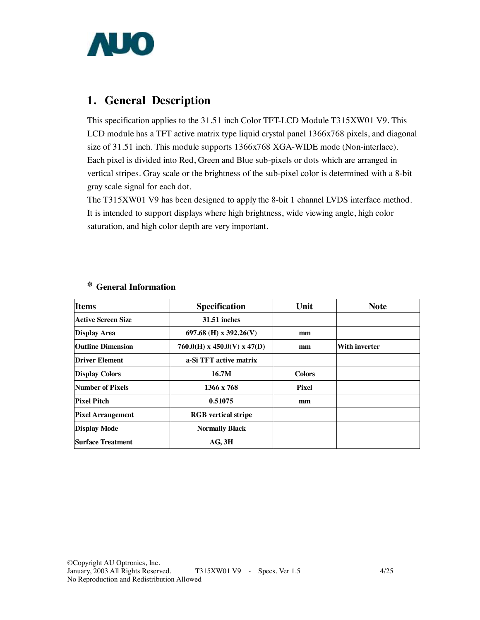

# **1. General Description**

This specification applies to the 31.51 inch Color TFT-LCD Module T315XW01 V9. This LCD module has a TFT active matrix type liquid crystal panel 1366x768 pixels, and diagonal size of 31.51 inch. This module supports 1366x768 XGA-WIDE mode (Non-interlace). Each pixel is divided into Red, Green and Blue sub-pixels or dots which are arranged in vertical stripes. Gray scale or the brightness of the sub-pixel color is determined with a 8-bit gray scale signal for each dot.

The T315XW01 V9 has been designed to apply the 8-bit 1 channel LVDS interface method. It is intended to support displays where high brightness, wide viewing angle, high color saturation, and high color depth are very important.

| <b>Items</b>             | Specification                 | Unit          | <b>Note</b>   |
|--------------------------|-------------------------------|---------------|---------------|
| Active Screen Size       | <b>31.51 inches</b>           |               |               |
| <b>Display Area</b>      | 697.68 (H) x 392.26(V)        | mm            |               |
| <b>Outline Dimension</b> | $760.0(H)$ x 450.0(V) x 47(D) | mm            | With inverter |
| <b>Driver Element</b>    | a-Si TFT active matrix        |               |               |
| <b>Display Colors</b>    | 16.7M                         | <b>Colors</b> |               |
| Number of Pixels         | 1366 x 768                    | <b>Pixel</b>  |               |
| <b>Pixel Pitch</b>       | 0.51075                       | mm            |               |
| <b>Pixel Arrangement</b> | <b>RGB</b> vertical stripe    |               |               |
| <b>Display Mode</b>      | <b>Normally Black</b>         |               |               |
| Surface Treatment        | $AG$ , $3H$                   |               |               |

## **\* General Information**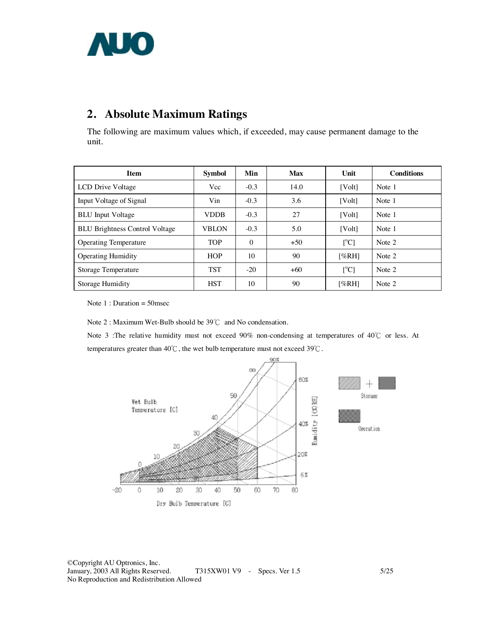

# **2. Absolute Maximum Ratings**

The following are maximum values which, if exceeded, may cause permanent damage to the unit.

| <b>Item</b>                           | <b>Symbol</b> | Min      | <b>Max</b> | Unit                      | <b>Conditions</b> |
|---------------------------------------|---------------|----------|------------|---------------------------|-------------------|
| LCD Drive Voltage                     | Vcc           | $-0.3$   | 14.0       | [Volt]                    | Note 1            |
| Input Voltage of Signal               | Vin           | $-0.3$   | 3.6        | [Vol <sub>t</sub> ]       | Note 1            |
| <b>BLU</b> Input Voltage              | <b>VDDB</b>   | $-0.3$   | 27         | [Volt]                    | Note 1            |
| <b>BLU Brightness Control Voltage</b> | <b>VBLON</b>  | $-0.3$   | 5.0        | [Volt]                    | Note 1            |
| <b>Operating Temperature</b>          | <b>TOP</b>    | $\theta$ | $+50$      | $\lceil{^{\circ}C}\rceil$ | Note 2            |
| <b>Operating Humidity</b>             | <b>HOP</b>    | 10       | 90         | [%RH]                     | Note 2            |
| <b>Storage Temperature</b>            | <b>TST</b>    | $-20$    | $+60$      | $\lceil{^{\circ}C}\rceil$ | Note 2            |
| Storage Humidity                      | <b>HST</b>    | 10       | 90         | [%RH]                     | Note 2            |

Note 1 : Duration = 50msec

Note 2 : Maximum Wet-Bulb should be 39℃ and No condensation.

Note 3 :The relative humidity must not exceed 90% non-condensing at temperatures of 40℃ or less. At temperatures greater than 40℃, the wet bulb temperature must not exceed 39℃.

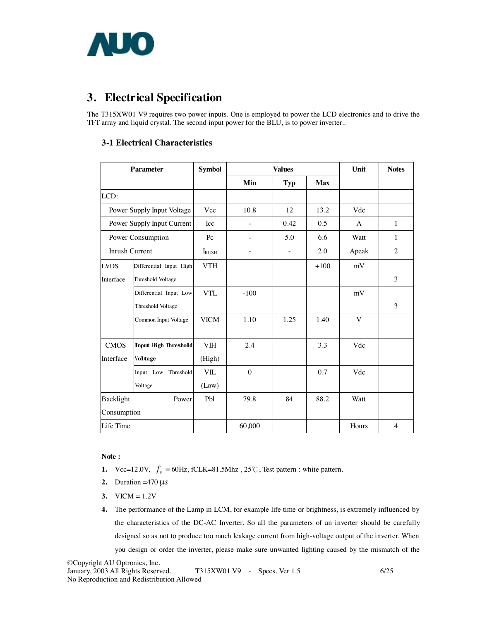

# **3. Electrical Specification**

The T315XW01 V9 requires two power inputs. One is employed to power the LCD electronics and to drive the TFT array and liquid crystal. The second input power for the BLU, is to power inverter..

### **3-1 Electrical Characteristics**

|                | <b>Parameter</b>            | <b>Symbol</b>  |          | <b>Values</b> |            | Unit  | <b>Notes</b>   |  |  |
|----------------|-----------------------------|----------------|----------|---------------|------------|-------|----------------|--|--|
|                |                             |                | Min      | <b>Typ</b>    | <b>Max</b> |       |                |  |  |
| LCD:           |                             |                |          |               |            |       |                |  |  |
|                | Power Supply Input Voltage  | Vcc            | 10.8     | 12            | 13.2       | Vdc   |                |  |  |
|                | Power Supply Input Current  | Icc            |          | 0.42          | 0.5        | A     | 1              |  |  |
|                | Power Consumption           | Pc             |          | 5.0           | 6.6        | Watt  | 1              |  |  |
| Inrush Current |                             | $I_{\rm RUSH}$ |          |               | 2.0        | Apeak | $\overline{2}$ |  |  |
| <b>LVDS</b>    | Differential Input High     | <b>VTH</b>     |          |               | $+100$     | mV    |                |  |  |
| Interface      | Threshold Voltage           |                |          |               |            |       | 3              |  |  |
|                | Differential Input Low      | <b>VTL</b>     | $-100$   |               |            | mV    |                |  |  |
|                | Threshold Voltage           |                |          |               |            |       | 3              |  |  |
|                | Common Input Voltage        | <b>VICM</b>    | 1.10     | 1.25          | 1.40       | V     |                |  |  |
| <b>CMOS</b>    | <b>Input High Threshold</b> | <b>VIH</b>     | 2.4      |               | 3.3        | Vdc   |                |  |  |
| Interface      | Voltage                     | (High)         |          |               |            |       |                |  |  |
|                | Input Low Threshold         | <b>VIL</b>     | $\theta$ |               | 0.7        | Vdc   |                |  |  |
|                | Voltage                     | (Low)          |          |               |            |       |                |  |  |
| Backlight      | Power                       | Pbl            | 79.8     | 84            | 88.2       | Watt  |                |  |  |
| Consumption    |                             |                |          |               |            |       |                |  |  |
| Life Time      |                             |                | 60,000   |               |            | Hours | $\overline{4}$ |  |  |

#### **Note :**

- **1.**  $\text{Vcc}=12.0\text{V}, f_v = 60\text{Hz}, \text{fCLK}=81.5\text{Mhz}, 25^{\circ}\text{C}, \text{Test pattern}: \text{white pattern}.$
- **2.** Duration =470 µ*s*
- 3.  $VICM = 1.2V$
- **4.** The performance of the Lamp in LCM, for example life time or brightness, is extremely influenced by the characteristics of the DC-AC Inverter. So all the parameters of an inverter should be carefully designed so as not to produce too much leakage current from high-voltage output of the inverter. When you design or order the inverter, please make sure unwanted lighting caused by the mismatch of the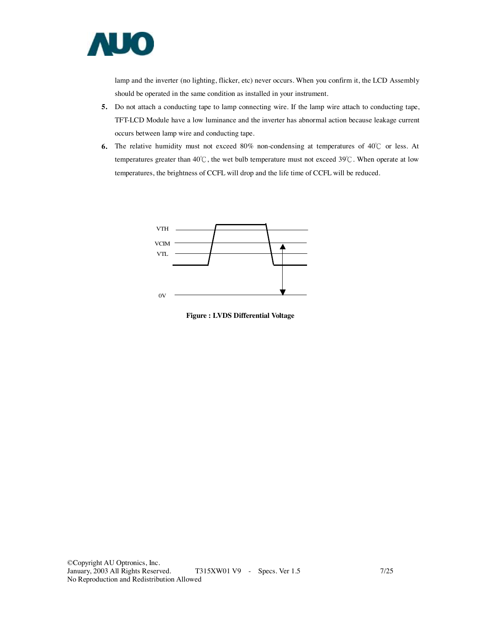

lamp and the inverter (no lighting, flicker, etc) never occurs. When you confirm it, the LCD Assembly should be operated in the same condition as installed in your instrument.

- **5.** Do not attach a conducting tape to lamp connecting wire. If the lamp wire attach to conducting tape, TFT-LCD Module have a low luminance and the inverter has abnormal action because leakage current occurs between lamp wire and conducting tape.
- **6.** The relative humidity must not exceed 80% non-condensing at temperatures of 40℃ or less. At temperatures greater than 40℃, the wet bulb temperature must not exceed 39℃. When operate at low temperatures, the brightness of CCFL will drop and the life time of CCFL will be reduced.



**Figure : LVDS Differential Voltage**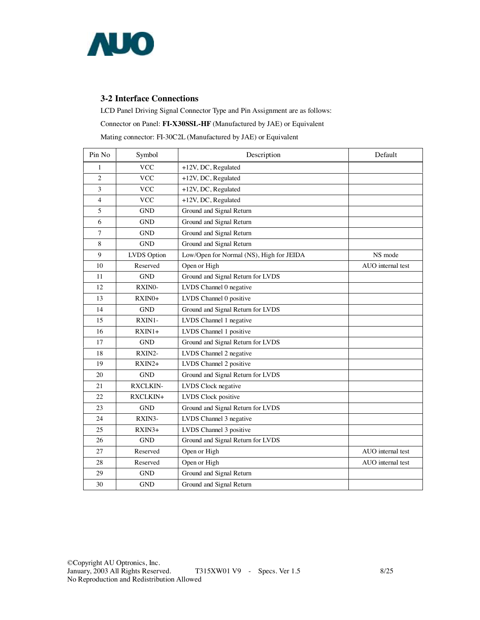

### **3-2 Interface Connections**

LCD Panel Driving Signal Connector Type and Pin Assignment are as follows:

#### Connector on Panel: **FI-X30SSL-HF** (Manufactured by JAE) or Equivalent

Mating connector: FI-30C2L (Manufactured by JAE) or Equivalent

| Pin No         | Symbol          | Description                              | Default           |
|----------------|-----------------|------------------------------------------|-------------------|
| 1              | <b>VCC</b>      | $+12V$ , DC, Regulated                   |                   |
| $\overline{2}$ | <b>VCC</b>      | +12V, DC, Regulated                      |                   |
| 3              | <b>VCC</b>      | +12V, DC, Regulated                      |                   |
| $\overline{4}$ | <b>VCC</b>      | +12V, DC, Regulated                      |                   |
| 5              | <b>GND</b>      | Ground and Signal Return                 |                   |
| 6              | <b>GND</b>      | Ground and Signal Return                 |                   |
| 7              | <b>GND</b>      | Ground and Signal Return                 |                   |
| 8              | <b>GND</b>      | Ground and Signal Return                 |                   |
| 9              | LVDS Option     | Low/Open for Normal (NS), High for JEIDA | NS mode           |
| 10             | Reserved        | Open or High                             | AUO internal test |
| 11             | <b>GND</b>      | Ground and Signal Return for LVDS        |                   |
| 12             | RXINO-          | LVDS Channel 0 negative                  |                   |
| 13             | $RXIN0+$        | LVDS Channel 0 positive                  |                   |
| 14             | <b>GND</b>      | Ground and Signal Return for LVDS        |                   |
| 15             | RXIN1-          | LVDS Channel 1 negative                  |                   |
| 16             | $RXIN1+$        | LVDS Channel 1 positive                  |                   |
| 17             | <b>GND</b>      | Ground and Signal Return for LVDS        |                   |
| 18             | RXIN2-          | LVDS Channel 2 negative                  |                   |
| 19             | $RXIN2+$        | LVDS Channel 2 positive                  |                   |
| 20             | <b>GND</b>      | Ground and Signal Return for LVDS        |                   |
| 21             | <b>RXCLKIN-</b> | LVDS Clock negative                      |                   |
| 22             | RXCLKIN+        | LVDS Clock positive                      |                   |
| 23             | <b>GND</b>      | Ground and Signal Return for LVDS        |                   |
| 24             | RXIN3-          | LVDS Channel 3 negative                  |                   |
| 25             | $RXIN3+$        | LVDS Channel 3 positive                  |                   |
| 26             | <b>GND</b>      | Ground and Signal Return for LVDS        |                   |
| 27             | Reserved        | Open or High                             | AUO internal test |
| 28             | Reserved        | Open or High                             | AUO internal test |
| 29             | <b>GND</b>      | Ground and Signal Return                 |                   |
| 30             | <b>GND</b>      | Ground and Signal Return                 |                   |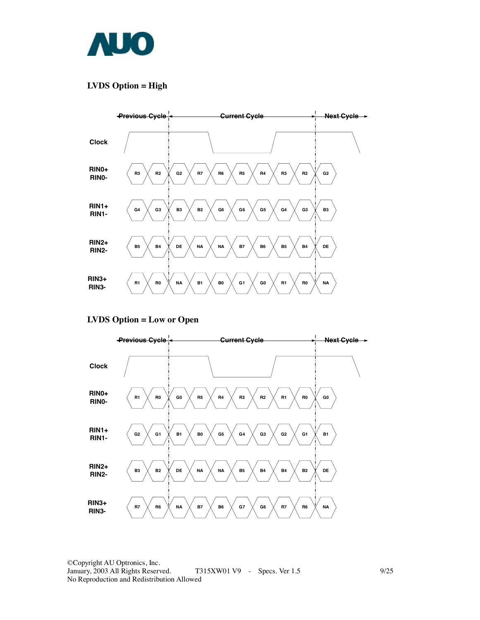

### **LVDS Option = High**



**LVDS Option = Low or Open** 

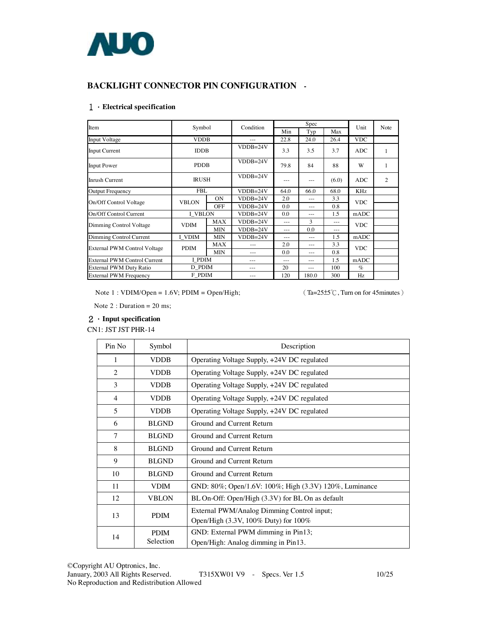

### **BACKLIGHT CONNECTOR PIN CONFIGURATION -**

#### 1.**Electrical specification**

| Item                                | Symbol         |            | Condition  |       | Spec    |       | Unit       | Note |
|-------------------------------------|----------------|------------|------------|-------|---------|-------|------------|------|
|                                     |                |            |            | Min   | Typ     | Max   |            |      |
| Input Voltage                       | <b>VDDB</b>    |            |            | 22.8  | 24.0    | 26.4  | <b>VDC</b> |      |
| <b>Input Current</b>                | <b>IDDB</b>    |            | $VDDB=24V$ | 3.3   | 3.5     | 3.7   | <b>ADC</b> | 1    |
| <b>Input Power</b>                  | <b>PDDB</b>    |            | $VDDB=24V$ | 79.8  | 84      | 88    | W          | 1    |
| <b>Inrush Current</b>               | <b>IRUSH</b>   |            | $VDDB=24V$ | ---   | $- - -$ | (6.0) | ADC.       | 2    |
| <b>Output Frequency</b>             | <b>FBL</b>     |            | $VDDB=24V$ | 64.0  | 66.0    | 68.0  | <b>KHz</b> |      |
| On/Off Control Voltage              | <b>VBLON</b>   | <b>ON</b>  | $VDDB=24V$ | 2.0   | $---$   | 3.3   | <b>VDC</b> |      |
|                                     |                | <b>OFF</b> | $VDDB=24V$ | 0.0   | $---$   | 0.8   |            |      |
| On/Off Control Current              | <b>I VBLON</b> |            | $VDDB=24V$ | 0.0   | ---     | 1.5   | mADC       |      |
| Dimming Control Voltage             | <b>VDIM</b>    | <b>MAX</b> | $VDDB=24V$ | $---$ | 3       | $---$ | <b>VDC</b> |      |
|                                     |                | <b>MIN</b> | $VDDB=24V$ | $---$ | 0.0     | $---$ |            |      |
| Dimming Control Current             | I VDIM         | <b>MIN</b> | $VDDB=24V$ | $---$ | $---$   | 1.5   | mADC       |      |
| External PWM Control Voltage        | <b>PDIM</b>    | <b>MAX</b> |            | 2.0   | $---$   | 3.3   | <b>VDC</b> |      |
|                                     |                | <b>MIN</b> | $---$      | 0.0   | $-- -$  | 0.8   |            |      |
| <b>External PWM Control Current</b> | I PDIM         |            |            | ---   | $---$   | 1.5   | mADC       |      |
| External PWM Duty Ratio             | D PDIM         |            |            | 20    | $---$   | 100   | $\%$       |      |
| <b>External PWM Frequency</b>       | F PDIM         |            | ---        | 120   | 180.0   | 300   | Hz         |      |

Note 1 : VDIM/Open = 1.6V; PDIM = Open/High; (Ta=25±5℃, Turn on for 45minutes)

Note 2 : Duration = 20 ms;

#### 2.**Input specification**

CN1: JST JST PHR-14

| Pin No | Symbol       | Description                                            |
|--------|--------------|--------------------------------------------------------|
| 1      | <b>VDDB</b>  | Operating Voltage Supply, +24V DC regulated            |
| 2      | <b>VDDB</b>  | Operating Voltage Supply, +24V DC regulated            |
| 3      | <b>VDDB</b>  | Operating Voltage Supply, +24V DC regulated            |
| 4      | <b>VDDB</b>  | Operating Voltage Supply, +24V DC regulated            |
| 5      | <b>VDDB</b>  | Operating Voltage Supply, +24V DC regulated            |
| 6      | <b>BLGND</b> | Ground and Current Return                              |
| $\tau$ | <b>BLGND</b> | Ground and Current Return                              |
| 8      | <b>BLGND</b> | Ground and Current Return                              |
| 9      | <b>BLGND</b> | Ground and Current Return                              |
| 10     | <b>BLGND</b> | Ground and Current Return                              |
| 11     | <b>VDIM</b>  | GND: 80%; Open/1.6V: 100%; High (3.3V) 120%, Luminance |
| 12     | <b>VBLON</b> | BL On-Off: Open/High (3.3V) for BL On as default       |
| 13     | <b>PDIM</b>  | External PWM/Analog Dimming Control input;             |
|        |              | Open/High (3.3V, 100% Duty) for 100%                   |
| 14     | <b>PDIM</b>  | GND: External PWM dimming in Pin13;                    |
|        | Selection    | Open/High: Analog dimming in Pin13.                    |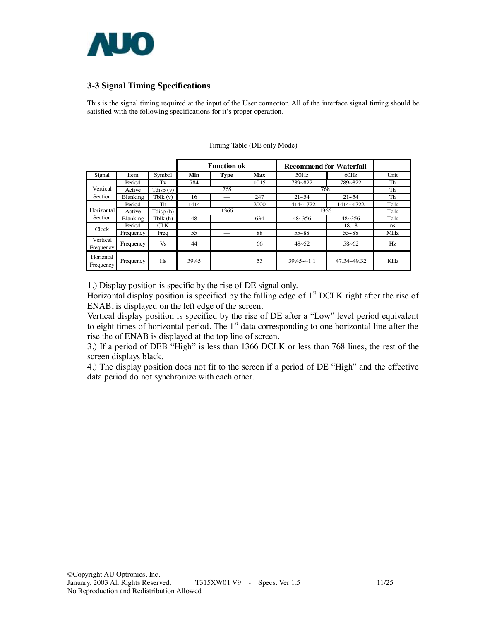

### **3-3 Signal Timing Specifications**

This is the signal timing required at the input of the User connector. All of the interface signal timing should be satisfied with the following specifications for it's proper operation.

|                        |             |                                |       | <b>Function ok</b> |      | <b>Recommend for Waterfall</b> |               |            |
|------------------------|-------------|--------------------------------|-------|--------------------|------|--------------------------------|---------------|------------|
| Signal                 | <b>Item</b> | Symbol                         | Min   | <b>Type</b>        | Max  | 50Hz                           | 60Hz          | Unit       |
|                        | Period      | Tv                             | 784   |                    | 1015 | 789~822                        | 789~822       | Th         |
| Vertical               | Active      | $\overline{\text{T}}$ disp (v) |       | 768                |      | 768                            | Th            |            |
| <b>Section</b>         | Blanking    | Tblk(v)                        | 16    |                    | 247  | $21 - 54$                      | $21 - 54$     | Th         |
|                        | Period      | Th                             | 1414  |                    | 2000 | 1414~1722                      | 1414~1722     | Telk       |
| Horizontal             | Active      | Tdisp(h)                       |       | 1366               |      | 1366                           | Telk          |            |
| Section                | Blanking    | Tblk (h)                       | 48    |                    | 634  | $48 - 356$                     | $48 \sim 356$ | Telk       |
| Clock                  | Period      | <b>CLK</b>                     |       |                    |      |                                | 18.18         | ns         |
|                        | Frequency   | Freq                           | 55    |                    | 88   | $55 - 88$                      | $55 - 88$     | MHz.       |
| Vertical<br>Frequency  | Frequency   | Vs                             | 44    |                    | 66   | $48 - 52$                      | $58 - 62$     | Hz         |
| Horizntal<br>Frequency | Frequency   | Hs                             | 39.45 |                    | 53   | $39.45 - 41.1$                 | 47.34~49.32   | <b>KHz</b> |

Timing Table (DE only Mode)

1.) Display position is specific by the rise of DE signal only.

Horizontal display position is specified by the falling edge of  $1<sup>st</sup> DCLK$  right after the rise of ENAB, is displayed on the left edge of the screen.

Vertical display position is specified by the rise of DE after a "Low" level period equivalent to eight times of horizontal period. The  $1<sup>st</sup>$  data corresponding to one horizontal line after the rise the of ENAB is displayed at the top line of screen.

3.) If a period of DEB "High" is less than 1366 DCLK or less than 768 lines, the rest of the screen displays black.

4.) The display position does not fit to the screen if a period of DE "High" and the effective data period do not synchronize with each other.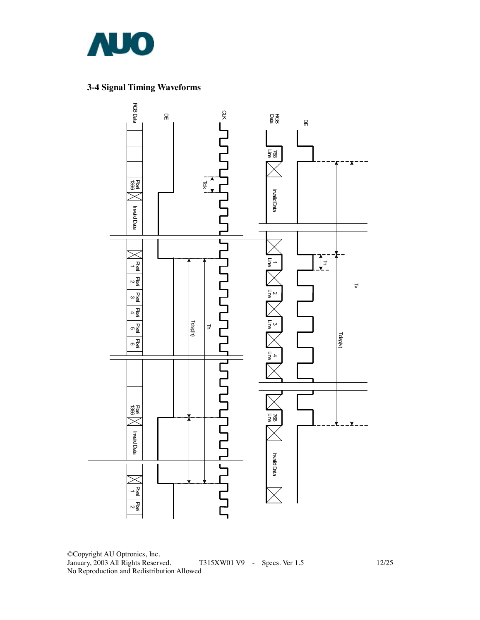

### **3-4 Signal Timing Waveforms**



©Copyright AU Optronics, Inc. T315XW01 V9 - Specs. Ver 1.5 12/25 No Reproduction and Redistribution Allowed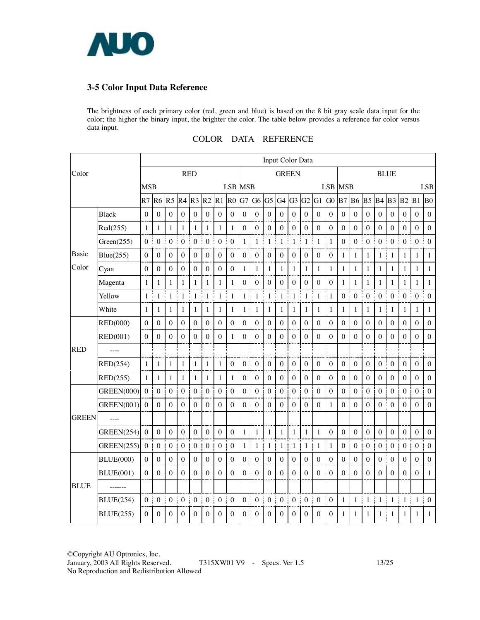

### **3-5 Color Input Data Reference**

The brightness of each primary color (red, green and blue) is based on the 8 bit gray scale data input for the color; the higher the binary input, the brighter the color. The table below provides a reference for color versus data input.

|              |                   |              |                  |                  |                     |                                              |                  |                        |                  |                   |                  |                  | Input Color Data      |                       |                  |                  |                  |                       |                   |                       |                       |                  |                     |                  |                  |
|--------------|-------------------|--------------|------------------|------------------|---------------------|----------------------------------------------|------------------|------------------------|------------------|-------------------|------------------|------------------|-----------------------|-----------------------|------------------|------------------|------------------|-----------------------|-------------------|-----------------------|-----------------------|------------------|---------------------|------------------|------------------|
| Color        |                   |              |                  |                  | <b>RED</b>          |                                              |                  |                        |                  |                   |                  |                  | <b>GREEN</b>          |                       |                  |                  |                  |                       |                   |                       |                       | <b>BLUE</b>      |                     |                  |                  |
|              |                   | <b>MSB</b>   |                  |                  |                     |                                              |                  |                        | <b>LSB MSB</b>   |                   |                  |                  |                       |                       |                  |                  |                  | <b>LSB MSB</b>        |                   |                       |                       |                  |                     |                  | <b>LSB</b>       |
|              |                   | R7           | R <sub>6</sub>   | R <sub>5</sub>   |                     | R <sub>4</sub> R <sub>3</sub> R <sub>2</sub> |                  | R1                     | R <sub>0</sub>   | G7                | G6               | G <sub>5</sub>   | G4 G3                 |                       | G2               | $G1$ $G0$        |                  | B7                    | <b>B6</b>         | <b>B5</b> B4          |                       | B <sub>3</sub>   | $B2$ $B1$           |                  | B <sub>0</sub>   |
|              | Black             | $\mathbf{0}$ | $\boldsymbol{0}$ | $\boldsymbol{0}$ | $\mathbf{0}$        | $\boldsymbol{0}$                             | $\boldsymbol{0}$ | $\mathbf{0}$           | $\boldsymbol{0}$ | $\boldsymbol{0}$  | $\mathbf{0}$     | $\boldsymbol{0}$ | $\boldsymbol{0}$      | $\boldsymbol{0}$      | $\mathbf{0}$     | $\boldsymbol{0}$ | $\boldsymbol{0}$ | $\boldsymbol{0}$      | $\boldsymbol{0}$  | $\boldsymbol{0}$      | $\boldsymbol{0}$      | $\boldsymbol{0}$ | $\mathbf{0}$        | $\boldsymbol{0}$ | $\boldsymbol{0}$ |
|              | Red(255)          | 1            | $\mathbf{1}$     | 1                | $\mathbf{1}$        | $\mathbf{1}$                                 | $\mathbf{1}$     | $\mathbf{1}$           | $\mathbf{1}$     | $\boldsymbol{0}$  | $\boldsymbol{0}$ | $\boldsymbol{0}$ | $\boldsymbol{0}$      | $\theta$              | $\boldsymbol{0}$ | $\boldsymbol{0}$ | $\boldsymbol{0}$ | $\boldsymbol{0}$      | $\boldsymbol{0}$  | $\boldsymbol{0}$      | $\boldsymbol{0}$      | $\Omega$         | $\boldsymbol{0}$    | $\boldsymbol{0}$ | $\boldsymbol{0}$ |
|              | Green(255)        | $\theta$     | $\theta$         | $\Omega$         | $\mathbf{0}$<br>÷   | $\boldsymbol{0}$                             | $\boldsymbol{0}$ | Ţ<br>$\boldsymbol{0}$  | $\boldsymbol{0}$ | j<br>1            | $\mathbf{1}$     | $\mathbf{1}$     | $\mathbf{1}$          | ÷.<br>$\mathbf{1}$    | $\mathbf{1}$     | 1<br>j           | $\mathbf{1}$     | t<br>$\boldsymbol{0}$ | $\boldsymbol{0}$  | $\boldsymbol{0}$      | ł<br>$\theta$         | $\Omega$         | $0$ :               | $\theta$         | $\Omega$         |
| Basic        | Blue(255)         | $\mathbf{0}$ | $\mathbf{0}$     | $\boldsymbol{0}$ | $\boldsymbol{0}$    | $\mathbf{0}$                                 | $\overline{0}$   | $\boldsymbol{0}$       | $\boldsymbol{0}$ | $\boldsymbol{0}$  | $\boldsymbol{0}$ | $\boldsymbol{0}$ | $\boldsymbol{0}$      | $\overline{0}$        | $\boldsymbol{0}$ | $\boldsymbol{0}$ | $\boldsymbol{0}$ | $\mathbf{1}$          | $\mathbf{1}$      | 1                     | $\mathbf{1}$          | 1                | 1                   | 1                | $\mathbf{1}$     |
| Color        | Cyan              | $\theta$     | $\Omega$         | $\Omega$         | $\overline{0}$      | $\boldsymbol{0}$                             | $\mathbf{0}$     | $\theta$               | $\Omega$         | 1                 | $\mathbf{1}$     | 1                | $\mathbf{1}$          | 1                     | $\mathbf{1}$     | 1                | $\mathbf{1}$     | 1<br>÷                | $\mathbf{1}$      | $\mathbf{1}$          | 1                     | 1                | $\mathbf{1}$        | 1                | 1                |
|              | Magenta           | $\mathbf{1}$ | $\mathbf{1}$     | $\mathbf{1}$     | $\mathbf{1}$        | 1                                            | $\mathbf{1}$     | $\mathbf{1}$           | $\mathbf{1}$     | $\boldsymbol{0}$  | $\boldsymbol{0}$ | $\mathbf{0}$     | $\boldsymbol{0}$      | $\mathbf{0}$          | $\boldsymbol{0}$ | $\boldsymbol{0}$ | $\boldsymbol{0}$ | 1                     | $\mathbf{1}$      | 1                     | 1                     | 1                | 1                   | 1                | $\mathbf{1}$     |
|              | Yellow            | $\mathbf{1}$ | $\mathbf{1}$     | $\mathbf{1}$     | $\mathbf{1}$        | Î<br>$\mathbf{1}$                            | $\mathbf{1}$     | j<br>$\mathbf{1}$<br>j | $\mathbf{1}$     | $\mathbf{1}$      | $\mathbf{1}$     | 1                | 1<br>Ī                | $\mathbf{1}$          | $\mathbf{1}$     | $\mathbf{1}$     | $\mathbf{1}$     | Ī<br>$\boldsymbol{0}$ | $\boldsymbol{0}$  | $\boldsymbol{0}$      | ł<br>$\boldsymbol{0}$ | $\mathbf{0}$     | $\boldsymbol{0}$    | $\boldsymbol{0}$ | $\theta$         |
|              | White             | $\mathbf{1}$ | $\mathbf{1}$     | $\mathbf{1}$     | $\mathbf{1}$        | $\mathbf{1}$                                 | $\mathbf{1}$     | $\mathbf{1}$           | $\mathbf{1}$     | $\mathbf{1}$<br>J | $\mathbf{1}$     | 1                | $\mathbf{1}$          | 1                     | $\mathbf{1}$     | $\mathbf{1}$     | $\mathbf{1}$     | $\mathbf{1}$          | $\mathbf{1}$      | $\mathbf{1}$          | $\mathbf{1}$          | $\mathbf{1}$     | $\mathbf{1}$        | $\mathbf{1}$     | $\mathbf{1}$     |
|              | <b>RED(000)</b>   | $\mathbf{0}$ | $\boldsymbol{0}$ | $\boldsymbol{0}$ | $\overline{0}$      | $\mathbf{0}$                                 | $\boldsymbol{0}$ | $\mathbf{0}$           | $\boldsymbol{0}$ | $\boldsymbol{0}$  | $\mathbf{0}$     | $\boldsymbol{0}$ | $\mathbf{0}$          | $\mathbf{0}$          | $\boldsymbol{0}$ | $\mathbf{0}$     | $\boldsymbol{0}$ | $\mathbf{0}$          | $\boldsymbol{0}$  | $\mathbf{0}$          | $\boldsymbol{0}$      | $\boldsymbol{0}$ | $\mathbf{0}$        | $\boldsymbol{0}$ | $\boldsymbol{0}$ |
|              | <b>RED(001)</b>   | $\Omega$     | $\mathbf{0}$     | $\theta$         | $\theta$            | $\theta$                                     | $\boldsymbol{0}$ | $\theta$               | $\mathbf{1}$     | $\theta$          | $\theta$         | $\theta$         | $\boldsymbol{0}$      | $\theta$              | $\theta$         | $\theta$         | $\mathbf{0}$     | $\theta$              | $\theta$          | $\Omega$              | $\mathbf{0}$          | $\theta$         | $\Omega$            | $\theta$         | $\mathbf{0}$     |
| <b>RED</b>   | ----              |              |                  |                  |                     |                                              |                  |                        |                  |                   |                  |                  |                       |                       |                  |                  |                  |                       |                   |                       |                       |                  |                     |                  |                  |
|              | RED(254)          | $\mathbf{1}$ | $\mathbf{1}$     | $\mathbf{1}$     | $\mathbf{1}$        | 1                                            | $\mathbf{1}$     | 1                      | $\boldsymbol{0}$ | $\boldsymbol{0}$  | $\boldsymbol{0}$ | $\boldsymbol{0}$ | $\mathbf{0}$          | $\overline{0}$        | $\mathbf{0}$     | $\boldsymbol{0}$ | $\boldsymbol{0}$ | $\boldsymbol{0}$      | $\mathbf{0}$      | $\boldsymbol{0}$      | $\boldsymbol{0}$      | $\boldsymbol{0}$ | $\mathbf{0}$        | $\boldsymbol{0}$ | $\boldsymbol{0}$ |
|              | RED(255)          | $\mathbf{1}$ | 1                | 1                | $\mathbf{1}$        | $\mathbf{1}$                                 | $\mathbf{1}$     | 1                      | $\mathbf{1}$     | $\theta$          | $\mathbf{0}$     | $\theta$         | $\mathbf{0}$          | $\theta$              | $\mathbf{0}$     | $\theta$         | $\theta$         | $\theta$              | $\boldsymbol{0}$  | $\theta$              | $\theta$              | $\theta$         | $\Omega$            | $\theta$         | $\mathbf{0}$     |
|              | <b>GREEN(000)</b> | $\mathbf{0}$ | $\boldsymbol{0}$ | $\boldsymbol{0}$ | Ī<br>$\overline{0}$ | $\boldsymbol{0}$                             | $\boldsymbol{0}$ | Ī<br>$\boldsymbol{0}$  | $\boldsymbol{0}$ | $\boldsymbol{0}$  | $\boldsymbol{0}$ | $\boldsymbol{0}$ | j<br>$\boldsymbol{0}$ | $\boldsymbol{0}$      | $\boldsymbol{0}$ | $\boldsymbol{0}$ | $\boldsymbol{0}$ | j<br>$\boldsymbol{0}$ | $\boldsymbol{0}$  | ĵ<br>$\boldsymbol{0}$ | $\boldsymbol{0}$      | $\boldsymbol{0}$ | $\overline{0}$<br>š | $\boldsymbol{0}$ | $\boldsymbol{0}$ |
|              | <b>GREEN(001)</b> | $\theta$     | $\Omega$         | $\theta$         | $\theta$            | $\theta$                                     | $\theta$         | $\theta$               | $\theta$         | $\boldsymbol{0}$  | $\Omega$         | $\theta$         | $\theta$              | $\theta$              | $\theta$         | $\theta$         | $\mathbf{1}$     | $\theta$              | $\Omega$          | $\theta$              | $\Omega$              | $\theta$         | $\theta$            | $\Omega$         | $\Omega$         |
| <b>GREEN</b> | ----              |              |                  |                  |                     |                                              |                  |                        |                  |                   |                  |                  |                       |                       |                  |                  |                  |                       |                   |                       |                       |                  |                     |                  |                  |
|              | GREEN(254)        | $\theta$     | $\mathbf{0}$     | $\mathbf{0}$     | $\mathbf{0}$        | $\mathbf{0}$                                 | $\mathbf{0}$     | $\boldsymbol{0}$       | $\mathbf{0}$     | 1                 | 1                | 1                | 1                     | 1                     | 1                | 1                | $\boldsymbol{0}$ | $\boldsymbol{0}$      | $\boldsymbol{0}$  | $\mathbf{0}$          | $\boldsymbol{0}$      | $\theta$         | $\mathbf{0}$        | $\boldsymbol{0}$ | $\boldsymbol{0}$ |
|              | <b>GREEN(255)</b> | $\mathbf{0}$ | $\boldsymbol{0}$ | $\boldsymbol{0}$ | $\boldsymbol{0}$    | $\boldsymbol{0}$                             | $\boldsymbol{0}$ | $\boldsymbol{0}$<br>ĵ  | $\boldsymbol{0}$ | 1                 | $\mathbf{1}$     | 1                | $\mathbf{1}$          | ŧ<br>$\mathbf{1}$     | $\mathbf{1}$     | $\mathbf{1}$     | $\mathbf{1}$     | I<br>$\mathbf{0}$     | $\boldsymbol{0}$  | $\boldsymbol{0}$      | $\boldsymbol{0}$      | $\boldsymbol{0}$ | $\boldsymbol{0}$    | $\boldsymbol{0}$ | $\mathbf{0}$     |
|              | <b>BLUE(000)</b>  | $\mathbf{0}$ | $\mathbf{0}$     | $\mathbf{0}$     | $\boldsymbol{0}$    | $\boldsymbol{0}$                             | $\mathbf{0}$     | $\mathbf{0}$           | $\boldsymbol{0}$ | $\boldsymbol{0}$  | $\mathbf{0}$     | $\boldsymbol{0}$ | $\boldsymbol{0}$      | $\theta$              | $\mathbf{0}$     | $\mathbf{0}$     | $\boldsymbol{0}$ | $\boldsymbol{0}$      | $\boldsymbol{0}$  | $\mathbf{0}$          | $\boldsymbol{0}$      | $\boldsymbol{0}$ | $\mathbf{0}$        | $\boldsymbol{0}$ | $\boldsymbol{0}$ |
|              | <b>BLUE(001)</b>  | $\theta$     | $\mathbf{0}$     | $\boldsymbol{0}$ | $\boldsymbol{0}$    | $\mathbf{0}$                                 | $\boldsymbol{0}$ | $\boldsymbol{0}$       | $\boldsymbol{0}$ | $\boldsymbol{0}$  | $\boldsymbol{0}$ | $\boldsymbol{0}$ | $\boldsymbol{0}$      | $\theta$              | $\boldsymbol{0}$ | $\boldsymbol{0}$ | $\boldsymbol{0}$ | $\boldsymbol{0}$      | $\boldsymbol{0}$  | $\boldsymbol{0}$      | $\boldsymbol{0}$      | $\boldsymbol{0}$ | $\mathbf{0}$        | $\boldsymbol{0}$ | $\mathbf{1}$     |
| <b>BLUE</b>  | -------           |              |                  |                  |                     |                                              |                  |                        |                  |                   |                  |                  |                       |                       |                  |                  |                  |                       |                   |                       |                       |                  |                     |                  |                  |
|              | <b>BLUE(254)</b>  | $\mathbf{0}$ | $\boldsymbol{0}$ | $\boldsymbol{0}$ | $0$ :               | $\boldsymbol{0}$                             | $\boldsymbol{0}$ | 0 <sup>1</sup>         | $\boldsymbol{0}$ | $\boldsymbol{0}$  | $\boldsymbol{0}$ | $\boldsymbol{0}$ | t<br>$\mathbf{0}$     | $\boldsymbol{0}$<br>j | $\boldsymbol{0}$ | $\boldsymbol{0}$ | $\boldsymbol{0}$ | Ť<br>$\mathbf{1}$     | $\mathbf{1}$<br>ĵ | ÷,<br>$\mathbf{1}$    | $\mathbf{1}$          | 1                | 1 <sup>1</sup>      | $\mathbf{1}$     | $\boldsymbol{0}$ |
|              | <b>BLUE(255)</b>  | $\Omega$     | $\theta$         | $\Omega$         | $\theta$            | $\Omega$                                     | $\Omega$         | $\Omega$               | $\Omega$         | $\Omega$          | $\Omega$         | $\theta$         | $\theta$              | $\theta$              | $\Omega$         | $\theta$         | $\Omega$         | 1                     | $\mathbf{1}$      | $\mathbf{1}$          | $\mathbf{1}$          | 1                | $\mathbf{1}$        | 1                | $\mathbf{1}$     |

### COLOR DATA REFERENCE

©Copyright AU Optronics, Inc. T315XW01 V9 - Specs. Ver 1.5 13/25 No Reproduction and Redistribution Allowed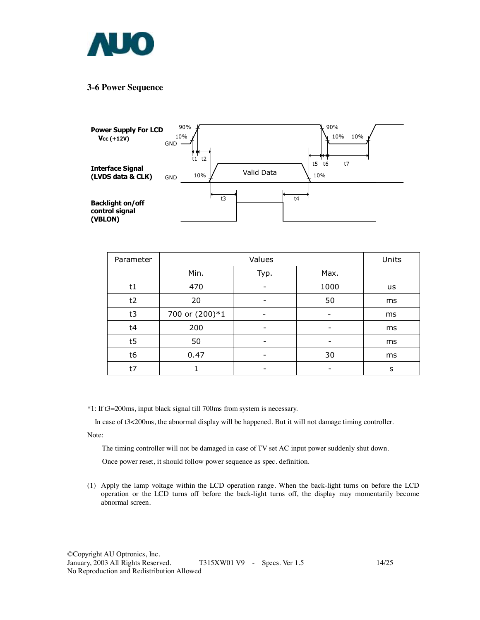

#### **3-6 Power Sequence**



| Parameter |                | Units |      |    |
|-----------|----------------|-------|------|----|
|           | Min.           | Typ.  | Max. |    |
| t1        | 470            |       | 1000 | us |
| t2        | 20             | -     | 50   | ms |
| t3        | 700 or (200)*1 |       |      | ms |
| t4        | 200            |       |      | ms |
| t5        | 50             |       |      | ms |
| t6        | 0.47           |       | 30   | ms |
| t7        |                |       |      | s  |

\*1: If t3=200ms, input black signal till 700ms from system is necessary.

In case of t3<200ms, the abnormal display will be happened. But it will not damage timing controller.

Note:

The timing controller will not be damaged in case of TV set AC input power suddenly shut down.

Once power reset, it should follow power sequence as spec. definition.

(1) Apply the lamp voltage within the LCD operation range. When the back-light turns on before the LCD operation or the LCD turns off before the back-light turns off, the display may momentarily become abnormal screen.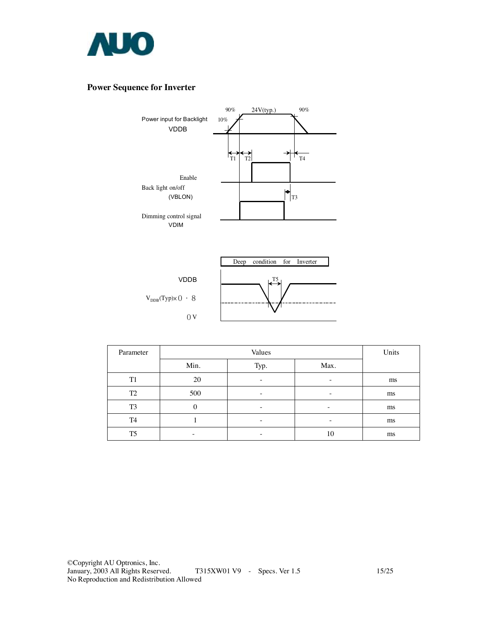

### **Power Sequence for Inverter**



| Parameter      |      | Units                    |      |    |
|----------------|------|--------------------------|------|----|
|                | Min. | Typ.                     | Max. |    |
| T <sub>1</sub> | 20   | $\overline{\phantom{0}}$ | -    | ms |
| T <sub>2</sub> | 500  | $\overline{\phantom{0}}$ | -    | ms |
| T <sub>3</sub> |      |                          |      | ms |
| T <sub>4</sub> |      | $\overline{\phantom{0}}$ | -    | ms |
| T <sub>5</sub> |      |                          | 10   | ms |

 $0<sub>V</sub>$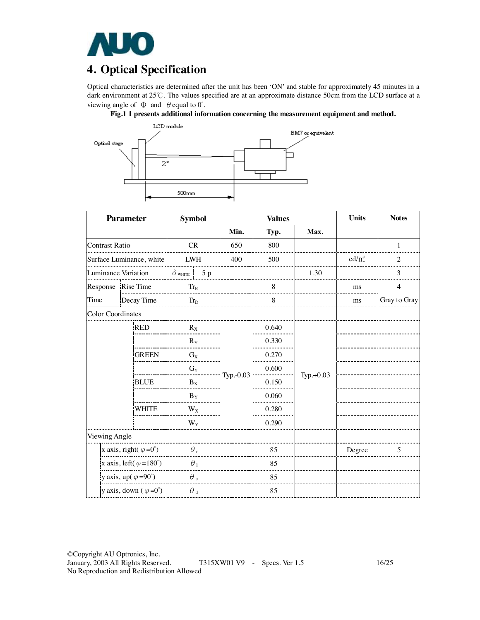

# **4. Optical Specification**

Optical characteristics are determined after the unit has been 'ON' and stable for approximately 45 minutes in a dark environment at 25℃. The values specified are at an approximate distance 50cm from the LCD surface at a viewing angle of  $\Phi$  and  $\theta$  equal to  $0^{\circ}$ .





| <b>Parameter</b>                       |                    | <b>Symbol</b>             |        | <b>Values</b> |       |           | <b>Units</b> | <b>Notes</b>   |
|----------------------------------------|--------------------|---------------------------|--------|---------------|-------|-----------|--------------|----------------|
|                                        |                    |                           |        | Min.          | Typ.  | Max.      |              |                |
| <b>Contrast Ratio</b>                  |                    | CR                        |        | 650           | 800   |           |              | $\mathbf{1}$   |
| Surface Luminance, white               |                    | <b>LWH</b>                |        | 400           | 500   |           | $cd/m^2$     | $\overline{2}$ |
| Luminance Variation                    |                    | $\delta$ white            | 5p     |               |       | 1.30      |              | 3              |
|                                        | Response Rise Time |                           | $Tr_R$ |               | 8     |           | ms           | $\overline{4}$ |
| Time                                   | Decay Time         | $Tr_D$                    |        |               | 8     |           | ms           | Gray to Gray   |
| <b>Color Coordinates</b>               |                    |                           |        |               |       |           |              |                |
|                                        | <b>RED</b>         | $R_X$                     |        |               | 0.640 |           |              |                |
|                                        |                    | $R_Y$                     |        |               | 0.330 |           |              |                |
|                                        | <b>GREEN</b>       | $G_X$                     |        |               | 0.270 |           |              |                |
|                                        |                    | $\mathrm{G}_{\mathrm{Y}}$ |        |               | 0.600 |           |              |                |
|                                        | <b>BLUE</b>        | $B_X$                     |        | Typ.-0.03     | 0.150 | Typ.+0.03 |              |                |
|                                        |                    | $\mathbf{B}_\mathbf{Y}$   |        |               | 0.060 |           |              |                |
|                                        | <b>WHITE</b>       | $W_X$                     |        |               | 0.280 |           |              |                |
|                                        |                    | $\mathbf{W}_\text{Y}$     |        |               | 0.290 |           |              |                |
| Viewing Angle                          |                    |                           |        |               |       |           |              |                |
| x axis, right( $\varphi = 0^{\circ}$ ) |                    | $\theta$ ,                |        |               | 85    |           | Degree       | 5              |
| x axis, left( $\varphi = 180^\circ$ )  |                    | $\theta_1$                |        |               | 85    |           |              |                |
| y axis, up( $\varphi = 90^\circ$ )     |                    | $\theta$ u                |        |               | 85    |           |              |                |
| y axis, down $(\varphi = 0^{\circ})$   |                    | $\theta$ $_{\rm d}$       |        |               | 85    |           |              |                |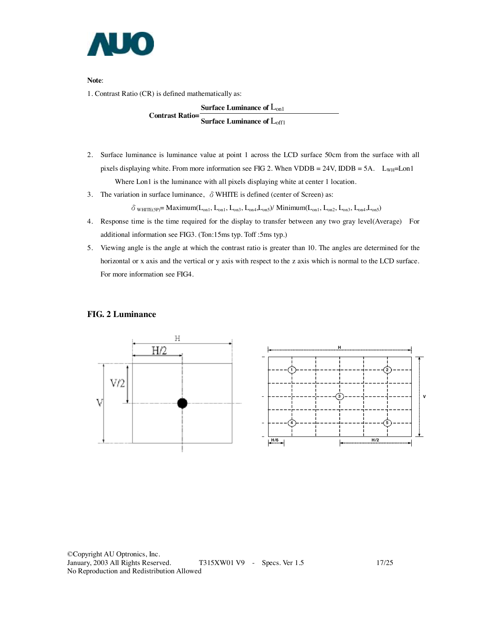

**Note**:

1. Contrast Ratio (CR) is defined mathematically as:

**Surface Luminance of** Lon1 **Contrast Ratio= Surface Luminance of** Loff1

- 2. Surface luminance is luminance value at point 1 across the LCD surface 50cm from the surface with all pixels displaying white. From more information see FIG 2. When VDDB =  $24V$ , IDDB =  $5A$ .  $L_{WH}$ =Lon1 Where Lon1 is the luminance with all pixels displaying white at center 1 location.
- 3. The variation in surface luminance,  $\delta$  WHITE is defined (center of Screen) as:

 $\delta$  white (5P) = Maximum( $L_{on1}$ ,  $L_{on1}$ ,  $L_{on2}$ ,  $L_{on4}$ ,  $L_{on5}$ )/ Minimum( $L_{on1}$ ,  $L_{on2}$ ,  $L_{on3}$ ,  $L_{on4}$ ,  $L_{on5}$ )

- 4. Response time is the time required for the display to transfer between any two gray level(Average) For additional information see FIG3. (Ton:15ms typ. Toff :5ms typ.)
- 5. Viewing angle is the angle at which the contrast ratio is greater than 10. The angles are determined for the horizontal or x axis and the vertical or y axis with respect to the z axis which is normal to the LCD surface. For more information see FIG4.

#### **FIG. 2 Luminance**

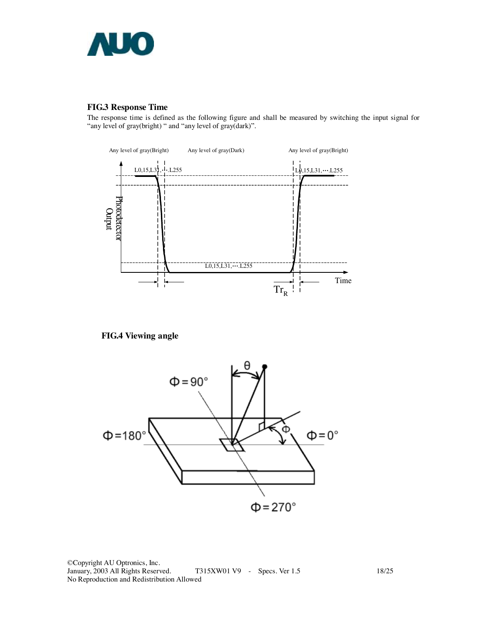

### **FIG.3 Response Time**

The response time is defined as the following figure and shall be measured by switching the input signal for "any level of gray(bright) " and "any level of gray(dark)".



**FIG.4 Viewing angle** 



©Copyright AU Optronics, Inc. T315XW01 V9 - Specs. Ver 1.5 18/25 No Reproduction and Redistribution Allowed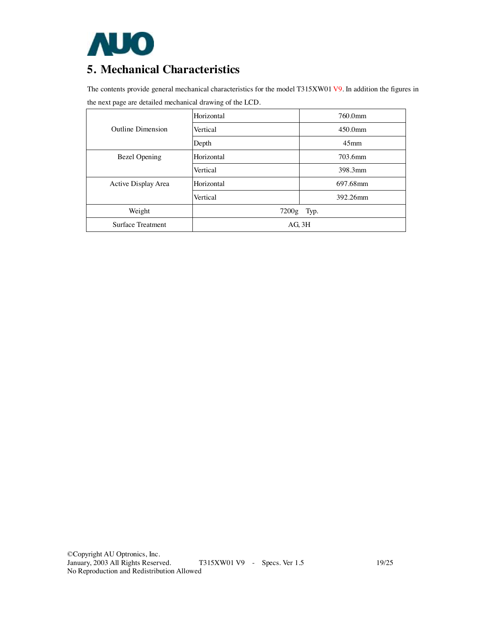

# **5. Mechanical Characteristics**

The contents provide general mechanical characteristics for the model T315XW01 V9. In addition the figures in the next page are detailed mechanical drawing of the LCD.

|                          | Horizontal  | 760.0mm          |  |
|--------------------------|-------------|------------------|--|
| Outline Dimension        | Vertical    | $450.0$ mm       |  |
|                          | Depth       | 45 <sub>mm</sub> |  |
| <b>Bezel Opening</b>     | Horizontal  | 703.6mm          |  |
|                          | Vertical    | 398.3mm          |  |
| Active Display Area      | Horizontal  | 697.68mm         |  |
|                          | Vertical    | 392.26mm         |  |
| Weight                   | 7200g Typ.  |                  |  |
| <b>Surface Treatment</b> | $AG$ , $3H$ |                  |  |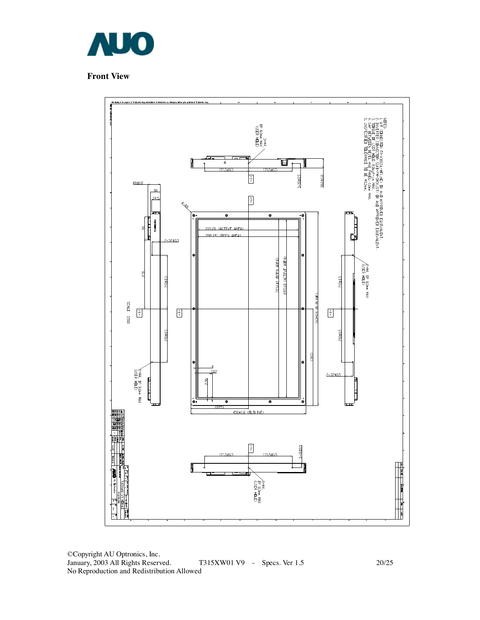

### **Front View**



©Copyright AU Optronics, Inc. January, 2003 All Rights Reserved. T315XW01 V9 - Specs. Ver 1.5 20/25 No Reproduction and Redistribution Allowed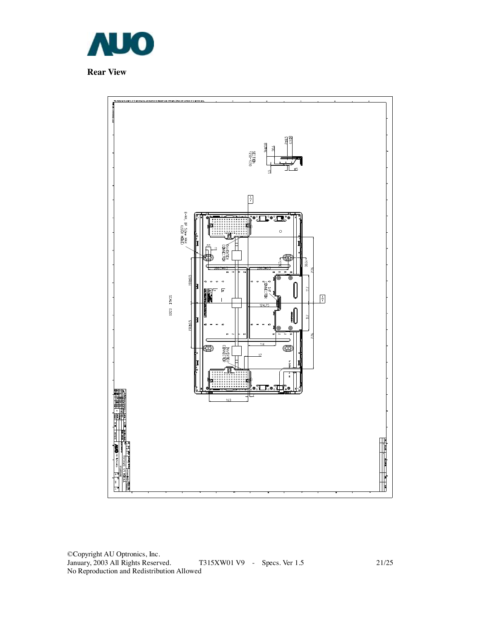

**Rear View** 

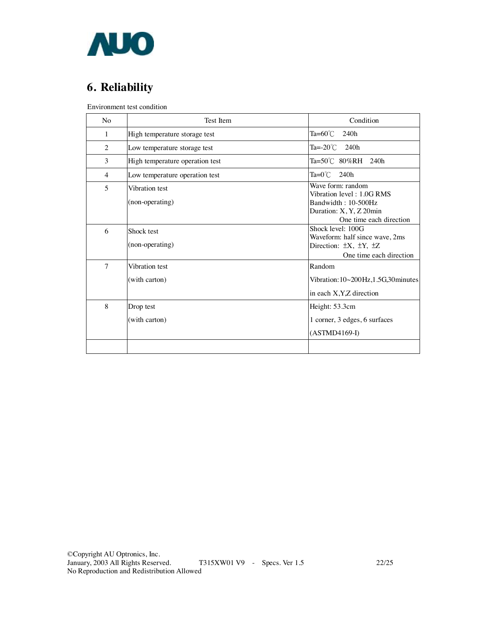

# **6. Reliability**

Environment test condition

| N <sub>0</sub>           | Test Item                         | Condition                                                                                                                   |  |  |
|--------------------------|-----------------------------------|-----------------------------------------------------------------------------------------------------------------------------|--|--|
| 1                        | High temperature storage test     | Ta= $60^{\circ}$ C<br>240h                                                                                                  |  |  |
| $\overline{2}$           | Low temperature storage test      | Ta=-20 $\degree$ C 240h                                                                                                     |  |  |
| 3                        | High temperature operation test   | Ta=50℃ 80%RH 240h                                                                                                           |  |  |
| 4                        | Low temperature operation test    | Ta= $0^{\circ}$ C 240h                                                                                                      |  |  |
| $\overline{\phantom{0}}$ | Vibration test<br>(non-operating) | Wave form: random<br>Vibration level: 1.0G RMS<br>Bandwidth: 10-500Hz<br>Duration: X, Y, Z 20min<br>One time each direction |  |  |
| 6                        | Shock test<br>(non-operating)     | Shock level: 100G<br>Waveform: half since wave, 2ms<br>Direction: $\pm X$ , $\pm Y$ , $\pm Z$<br>One time each direction    |  |  |
| 7                        | Vibration test<br>(with carton)   | Random<br>Vibration: 10~200Hz, 1.5G, 30 minutes<br>in each X, Y, Z direction                                                |  |  |
| 8                        | Drop test<br>(with carton)        | Height: 53.3cm<br>1 corner, 3 edges, 6 surfaces<br>$(ASTMD4169-I)$                                                          |  |  |
|                          |                                   |                                                                                                                             |  |  |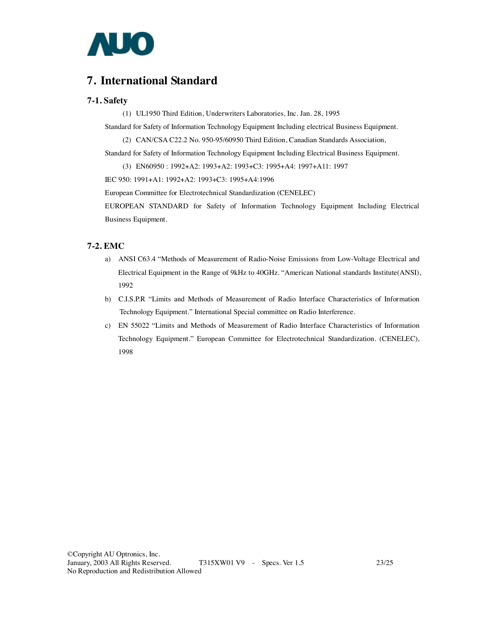

## **7. International Standard**

#### **7-1. Safety**

(1) UL1950 Third Edition, Underwriters Laboratories, Inc. Jan. 28, 1995

Standard for Safety of Information Technology Equipment Including electrical Business Equipment.

(2) CAN/CSA C22.2 No. 950-95/60950 Third Edition, Canadian Standards Association,

Standard for Safety of Information Technology Equipment Including Electrical Business Equipment.

(3) EN60950 : 1992+A2: 1993+A2: 1993+C3: 1995+A4: 1997+A11: 1997

IEC 950: 1991+A1: 1992+A2: 1993+C3: 1995+A4:1996

European Committee for Electrotechnical Standardization (CENELEC)

EUROPEAN STANDARD for Safety of Information Technology Equipment Including Electrical Business Equipment.

#### **7-2. EMC**

- a) ANSI C63.4 "Methods of Measurement of Radio-Noise Emissions from Low-Voltage Electrical and Electrical Equipment in the Range of 9kHz to 40GHz. "American National standards Institute(ANSI), 1992
- b) C.I.S.P.R "Limits and Methods of Measurement of Radio Interface Characteristics of Information Technology Equipment." International Special committee on Radio Interference.
- c) EN 55022 "Limits and Methods of Measurement of Radio Interface Characteristics of Information Technology Equipment." European Committee for Electrotechnical Standardization. (CENELEC), 1998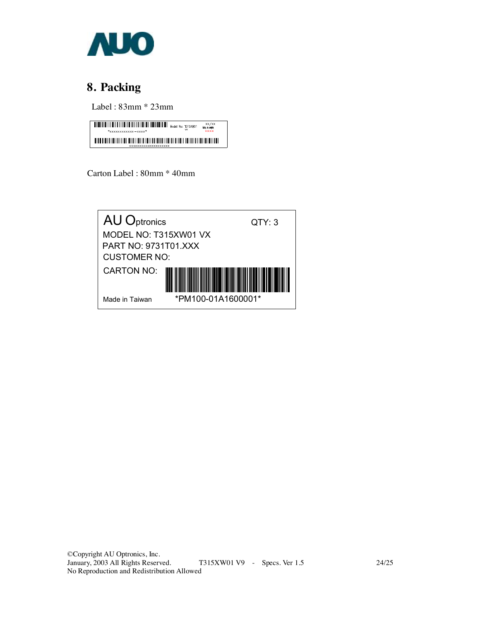

# **8. Packing**

Label : 83mm \* 23mm



Carton Label : 80mm \* 40mm

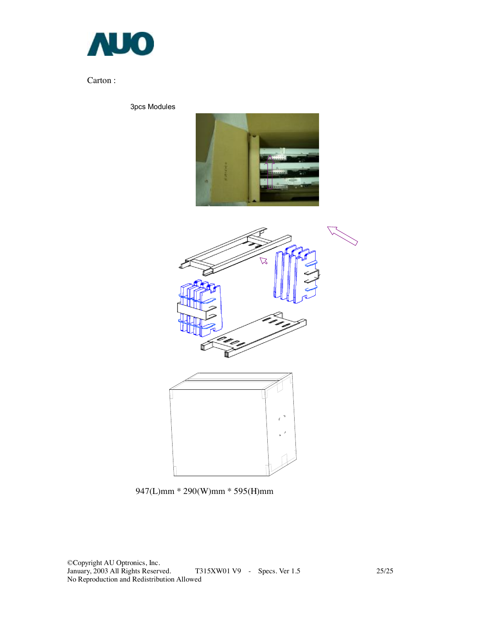

### Carton :

3pcs Modules







947(L)mm \* 290(W)mm \* 595(H)mm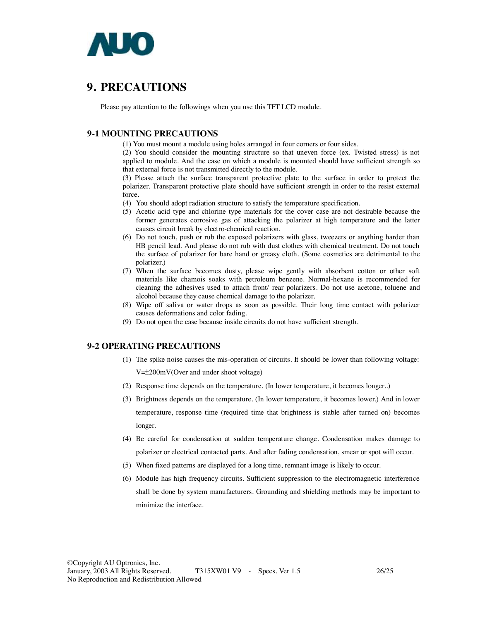

# **9. PRECAUTIONS**

Please pay attention to the followings when you use this TFT LCD module.

#### **9-1 MOUNTING PRECAUTIONS**

(1) You must mount a module using holes arranged in four corners or four sides.

(2) You should consider the mounting structure so that uneven force (ex. Twisted stress) is not applied to module. And the case on which a module is mounted should have sufficient strength so that external force is not transmitted directly to the module.

(3) Please attach the surface transparent protective plate to the surface in order to protect the polarizer. Transparent protective plate should have sufficient strength in order to the resist external force.

(4) You should adopt radiation structure to satisfy the temperature specification.

- (5) Acetic acid type and chlorine type materials for the cover case are not desirable because the former generates corrosive gas of attacking the polarizer at high temperature and the latter causes circuit break by electro-chemical reaction.
- (6) Do not touch, push or rub the exposed polarizers with glass, tweezers or anything harder than HB pencil lead. And please do not rub with dust clothes with chemical treatment. Do not touch the surface of polarizer for bare hand or greasy cloth. (Some cosmetics are detrimental to the polarizer.)
- (7) When the surface becomes dusty, please wipe gently with absorbent cotton or other soft materials like chamois soaks with petroleum benzene. Normal-hexane is recommended for cleaning the adhesives used to attach front/ rear polarizers. Do not use acetone, toluene and alcohol because they cause chemical damage to the polarizer.
- (8) Wipe off saliva or water drops as soon as possible. Their long time contact with polarizer causes deformations and color fading.
- (9) Do not open the case because inside circuits do not have sufficient strength.

### **9-2 OPERATING PRECAUTIONS**

(1) The spike noise causes the mis-operation of circuits. It should be lower than following voltage:

V=±200mV(Over and under shoot voltage)

- (2) Response time depends on the temperature. (In lower temperature, it becomes longer..)
- (3) Brightness depends on the temperature. (In lower temperature, it becomes lower.) And in lower temperature, response time (required time that brightness is stable after turned on) becomes longer.
- (4) Be careful for condensation at sudden temperature change. Condensation makes damage to polarizer or electrical contacted parts. And after fading condensation, smear or spot will occur.
- (5) When fixed patterns are displayed for a long time, remnant image is likely to occur.
- (6) Module has high frequency circuits. Sufficient suppression to the electromagnetic interference shall be done by system manufacturers. Grounding and shielding methods may be important to minimize the interface.